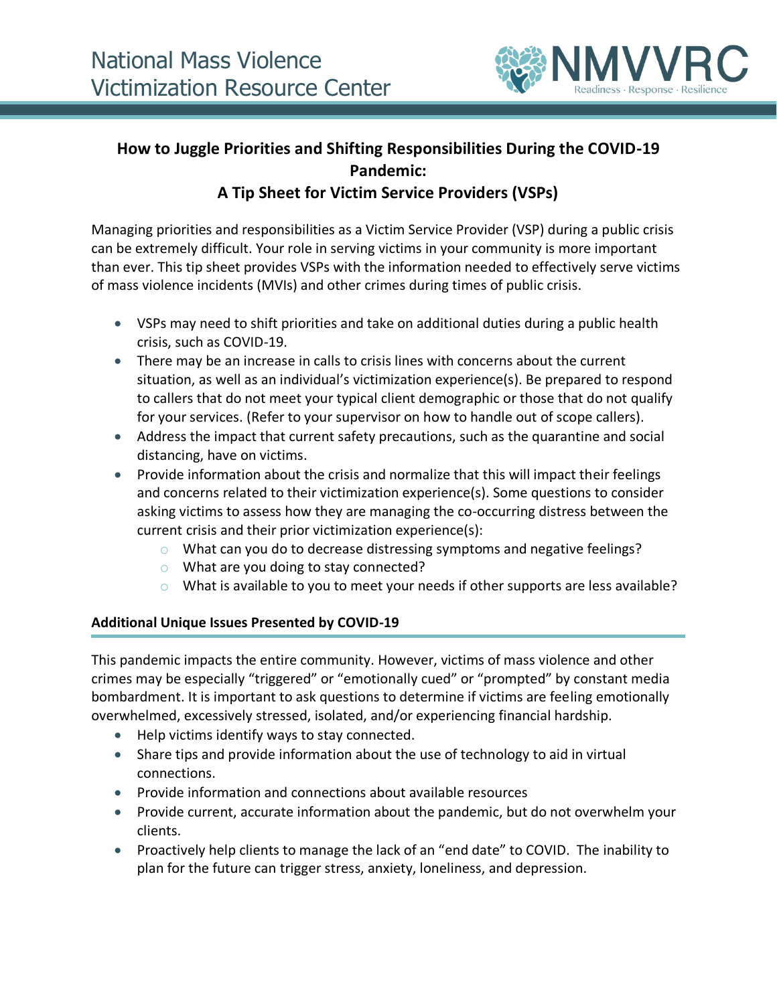

# **How to Juggle Priorities and Shifting Responsibilities During the COVID-19 Pandemic:**

# **A Tip Sheet for Victim Service Providers (VSPs)**

Managing priorities and responsibilities as a Victim Service Provider (VSP) during a public crisis can be extremely difficult. Your role in serving victims in your community is more important than ever. This tip sheet provides VSPs with the information needed to effectively serve victims of mass violence incidents (MVIs) and other crimes during times of public crisis.

- VSPs may need to shift priorities and take on additional duties during a public health crisis, such as COVID-19.
- There may be an increase in calls to crisis lines with concerns about the current situation, as well as an individual's victimization experience(s). Be prepared to respond to callers that do not meet your typical client demographic or those that do not qualify for your services. (Refer to your supervisor on how to handle out of scope callers).
- Address the impact that current safety precautions, such as the quarantine and social distancing, have on victims.
- Provide information about the crisis and normalize that this will impact their feelings and concerns related to their victimization experience(s). Some questions to consider asking victims to assess how they are managing the co-occurring distress between the current crisis and their prior victimization experience(s):
	- $\circ$  What can you do to decrease distressing symptoms and negative feelings?
	- o What are you doing to stay connected?
	- $\circ$  What is available to you to meet your needs if other supports are less available?

## **Additional Unique Issues Presented by COVID-19**

This pandemic impacts the entire community. However, victims of mass violence and other crimes may be especially "triggered" or "emotionally cued" or "prompted" by constant media bombardment. It is important to ask questions to determine if victims are feeling emotionally overwhelmed, excessively stressed, isolated, and/or experiencing financial hardship.

- Help victims identify ways to stay connected.
- Share tips and provide information about the use of technology to aid in virtual connections.
- Provide information and connections about available resources
- Provide current, accurate information about the pandemic, but do not overwhelm your clients.
- Proactively help clients to manage the lack of an "end date" to COVID. The inability to plan for the future can trigger stress, anxiety, loneliness, and depression.